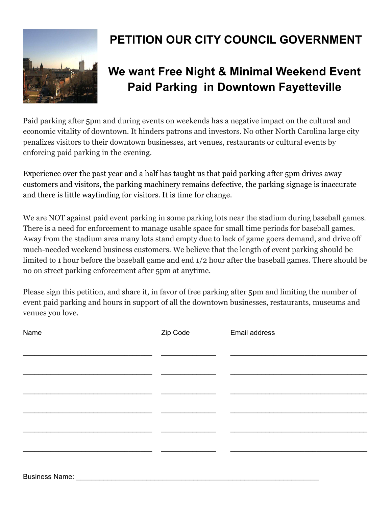

## **PETITION OUR CITY COUNCIL GOVERNMENT**

## **We want Free Night & Minimal Weekend Event Paid Parking in Downtown Fayetteville**

Paid parking after 5pm and during events on weekends has a negative impact on the cultural and economic vitality of downtown. It hinders patrons and investors. No other North Carolina large city penalizes visitors to their downtown businesses, art venues, restaurants or cultural events by enforcing paid parking in the evening.

Experience over the past year and a half has taught us that paid parking after 5pm drives away customers and visitors, the parking machinery remains defective, the parking signage is inaccurate and there is little wayfinding for visitors. It is time for change.

We are NOT against paid event parking in some parking lots near the stadium during baseball games. There is a need for enforcement to manage usable space for small time periods for baseball games. Away from the stadium area many lots stand empty due to lack of game goers demand, and drive off much-needed weekend business customers. We believe that the length of event parking should be limited to 1 hour before the baseball game and end 1/2 hour after the baseball games. There should be no on street parking enforcement after 5pm at anytime.

Please sign this petition, and share it, in favor of free parking after 5pm and limiting the number of event paid parking and hours in support of all the downtown businesses, restaurants, museums and venues you love.

| Name | Zip Code | Email address |
|------|----------|---------------|
|      |          |               |
|      |          |               |
|      |          |               |
|      |          |               |
|      |          |               |
|      |          |               |
|      |          |               |
|      |          |               |
|      |          |               |